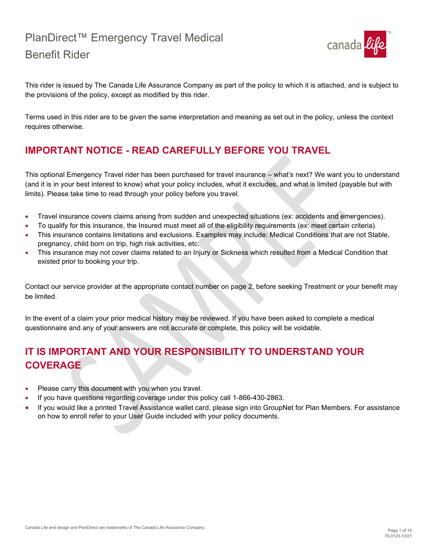

This rider is issued by The Canada Life Assurance Company as part of the policy to which it is attached, and is subject to the provisions of the policy, except as modified by this rider.

Terms used in this rider are to be given the same interpretation and meaning as set out in the policy, unless the context requires otherwise.

# **IMPORTANT NOTICE - READ CAREFULLY BEFORE YOU TRAVEL**

This optional Emergency Travel rider has been purchased for travel insurance – what's next? We want you to understand (and it is in your best interest to know) what your policy includes, what it excludes, and what is limited (payable but with limits). Please take time to read through your policy before you travel.

- Travel insurance covers claims arising from sudden and unexpected situations (ex: accidents and emergencies).
- To qualify for this insurance, the Insured must meet all of the eligibility requirements (ex: meet certain criteria).
- This insurance contains limitations and exclusions. Examples may include: Medical Conditions that are not Stable, pregnancy, child born on trip, high risk activities, etc.
- This insurance may not cover claims related to an Injury or Sickness which resulted from a Medical Condition that existed prior to booking your trip.

Contact our service provider at the appropriate contact number on page 2, before seeking Treatment or your benefit may be limited.

In the event of a claim your prior medical history may be reviewed. If you have been asked to complete a medical questionnaire and any of your answers are not accurate or complete, this policy will be voidable.

# **IT IS IMPORTANT AND YOUR RESPONSIBILITY TO UNDERSTAND YOUR COVERAGE**

- Please carry this document with you when you travel.
- If you have questions regarding coverage under this policy call 1-866-430-2863.
- If you would like a printed Travel Assistance wallet card, please sign into GroupNet for Plan Members. For assistance on how to enroll refer to your User Guide included with your policy documents.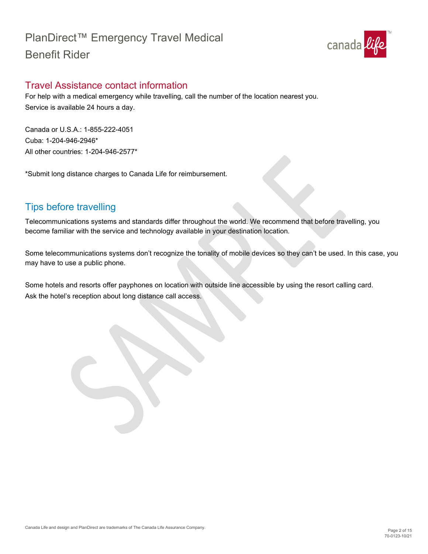

## <span id="page-1-0"></span>Travel Assistance contact information

For help with a medical emergency while travelling, call the number of the location nearest you. Service is available 24 hours a day.

Canada or U.S.A.: 1-855-222-4051 Cuba: 1-204-946-2946\* All other countries: 1-204-946-2577\*

\*Submit long distance charges to Canada Life for reimbursement.

# <span id="page-1-1"></span>Tips before travelling

Telecommunications systems and standards differ throughout the world. We recommend that before travelling, you become familiar with the service and technology available in your destination location.

Some telecommunications systems don't recognize the tonality of mobile devices so they can't be used. In this case, you may have to use a public phone.

Some hotels and resorts offer payphones on location with outside line accessible by using the resort calling card. Ask the hotel's reception about long distance call access.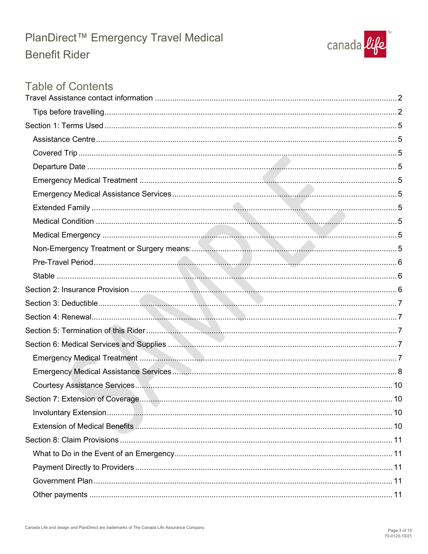

# **Table of Contents**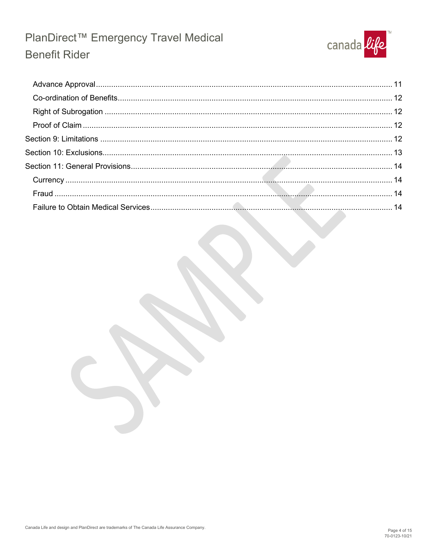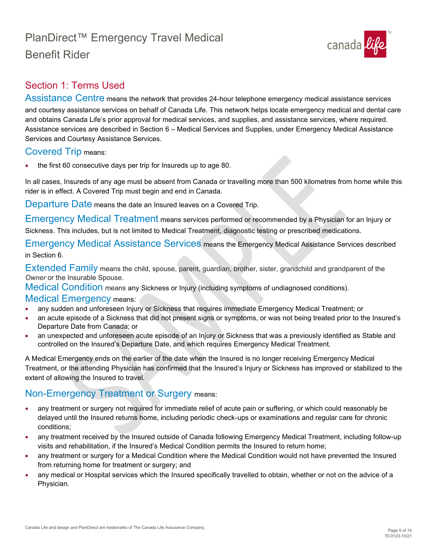

## <span id="page-4-0"></span>Section 1: Terms Used

<span id="page-4-1"></span>Assistance Centre means the network that provides 24-hour telephone emergency medical assistance services and courtesy assistance services on behalf of Canada Life. This network helps locate emergency medical and dental care and obtains Canada Life's prior approval for medical services, and supplies, and assistance services, where required. Assistance services are described in Section 6 – Medical Services and Supplies, under Emergency Medical Assistance Services and Courtesy Assistance Services.

### <span id="page-4-2"></span>Covered Trip means:

• the first 60 consecutive days per trip for Insureds up to age 80.

In all cases, Insureds of any age must be absent from Canada or travelling more than 500 kilometres from home while this rider is in effect. A Covered Trip must begin and end in Canada.

<span id="page-4-3"></span>Departure Date means the date an Insured leaves on a Covered Trip.

<span id="page-4-4"></span>Emergency Medical Treatment means services performed or recommended by a Physician for an Injury or Sickness. This includes, but is not limited to Medical Treatment, diagnostic testing or prescribed medications.

<span id="page-4-5"></span>Emergency Medical Assistance Services means the Emergency Medical Assistance Services described in Section 6.

<span id="page-4-6"></span>Extended Family means the child, spouse, parent, guardian, brother, sister, grandchild and grandparent of the *Owner* or the Insurable Spouse.

<span id="page-4-7"></span>Medical Condition means any Sickness or Injury (including symptoms of undiagnosed conditions).

### <span id="page-4-8"></span>Medical Emergency means:

- any sudden and unforeseen Injury or Sickness that requires immediate Emergency Medical Treatment; or
- an acute episode of a Sickness that did not present signs or symptoms, or was not being treated prior to the Insured's Departure Date from Canada; or
- an unexpected and unforeseen acute episode of an Injury or Sickness that was a previously identified as Stable and controlled on the Insured's Departure Date, and which requires Emergency Medical Treatment.

A Medical Emergency ends on the earlier of the date when the Insured is no longer receiving Emergency Medical Treatment, or the attending Physician has confirmed that the Insured's Injury or Sickness has improved or stabilized to the extent of allowing the Insured to travel.

### <span id="page-4-9"></span>Non-Emergency Treatment or Surgery means:

- any treatment or surgery not required for immediate relief of acute pain or suffering, or which could reasonably be delayed until the Insured returns home, including periodic check-ups or examinations and regular care for chronic conditions;
- any treatment received by the Insured outside of Canada following Emergency Medical Treatment, including follow-up visits and rehabilitation, if the Insured's Medical Condition permits the Insured to return home;
- any treatment or surgery for a Medical Condition where the Medical Condition would not have prevented the Insured from returning home for treatment or surgery; and
- any medical or Hospital services which the Insured specifically travelled to obtain, whether or not on the advice of a Physician.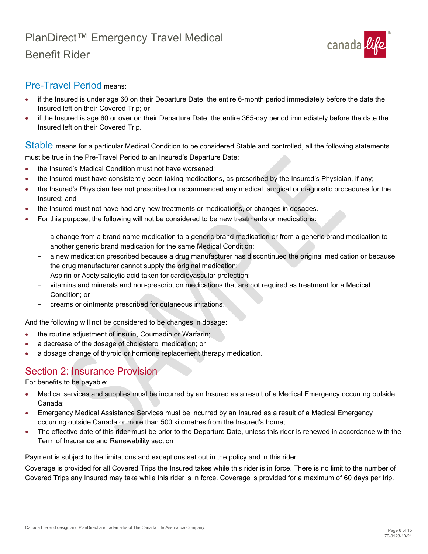

### <span id="page-5-0"></span>Pre-Travel Period means:

- if the Insured is under age 60 on their Departure Date, the entire 6-month period immediately before the date the Insured left on their Covered Trip; or
- if the Insured is age 60 or over on their Departure Date, the entire 365-day period immediately before the date the Insured left on their Covered Trip.

<span id="page-5-1"></span>Stable means for a particular Medical Condition to be considered Stable and controlled, all the following statements must be true in the Pre-Travel Period to an Insured's Departure Date;

- the Insured's Medical Condition must not have worsened;
- the Insured must have consistently been taking medications, as prescribed by the Insured's Physician, if any;
- the Insured's Physician has not prescribed or recommended any medical, surgical or diagnostic procedures for the Insured; and
- the Insured must not have had any new treatments or medications, or changes in dosages.
- For this purpose, the following will not be considered to be new treatments or medications:
	- a change from a brand name medication to a generic brand medication or from a generic brand medication to another generic brand medication for the same Medical Condition;
	- a new medication prescribed because a drug manufacturer has discontinued the original medication or because the drug manufacturer cannot supply the original medication;
	- Aspirin or Acetylsalicylic acid taken for cardiovascular protection;
	- vitamins and minerals and non-prescription medications that are not required as treatment for a Medical Condition; or
	- creams or ointments prescribed for cutaneous irritations.

And the following will not be considered to be changes in dosage:

- the routine adjustment of insulin, Coumadin or Warfarin;
- a decrease of the dosage of cholesterol medication; or
- a dosage change of thyroid or hormone replacement therapy medication.

### <span id="page-5-2"></span>Section 2: Insurance Provision

For benefits to be payable:

- Medical services and supplies must be incurred by an Insured as a result of a Medical Emergency occurring outside Canada;
- Emergency Medical Assistance Services must be incurred by an Insured as a result of a Medical Emergency occurring outside Canada or more than 500 kilometres from the Insured's home;
- The effective date of this rider must be prior to the Departure Date, unless this rider is renewed in accordance with the Term of Insurance and Renewability section

Payment is subject to the limitations and exceptions set out in the policy and in this rider.

Coverage is provided for all Covered Trips the Insured takes while this rider is in force. There is no limit to the number of Covered Trips any Insured may take while this rider is in force. Coverage is provided for a maximum of 60 days per trip.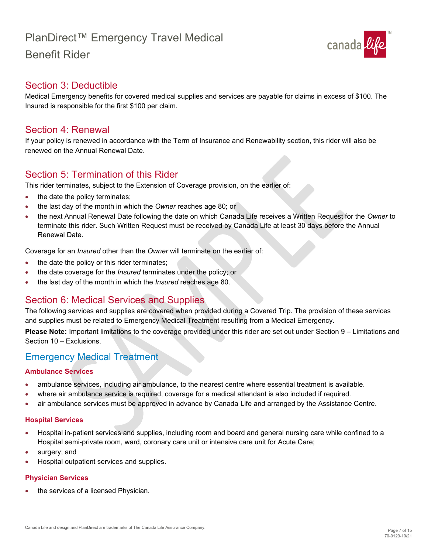

### <span id="page-6-0"></span>Section 3: Deductible

Medical Emergency benefits for covered medical supplies and services are payable for claims in excess of \$100. The Insured is responsible for the first \$100 per claim.

### <span id="page-6-1"></span>Section 4: Renewal

If your policy is renewed in accordance with the Term of Insurance and Renewability section, this rider will also be renewed on the Annual Renewal Date.

### <span id="page-6-2"></span>Section 5: Termination of this Rider

This rider terminates, subject to the Extension of Coverage provision, on the earlier of:

- the date the policy terminates;
- the last day of the month in which the *Owner* reaches age 80; or
- the next Annual Renewal Date following the date on which Canada Life receives a Written Request for the *Owner* to terminate this rider. Such Written Request must be received by Canada Life at least 30 days before the Annual Renewal Date.

Coverage for an *Insured* other than the *Owner* will terminate on the earlier of:

- the date the policy or this rider terminates;
- the date coverage for the *Insured* terminates under the policy; or
- the last day of the month in which the *Insured* reaches age 80.

### <span id="page-6-3"></span>Section 6: Medical Services and Supplies

The following services and supplies are covered when provided during a Covered Trip. The provision of these services and supplies must be related to Emergency Medical Treatment resulting from a Medical Emergency.

**Please Note:** Important limitations to the coverage provided under this rider are set out under Section 9 – Limitations and Section 10 – Exclusions.

### <span id="page-6-4"></span>Emergency Medical Treatment

#### **Ambulance Services**

- ambulance services, including air ambulance, to the nearest centre where essential treatment is available.
- where air ambulance service is required, coverage for a medical attendant is also included if required.
- air ambulance services must be approved in advance by Canada Life and arranged by the Assistance Centre.

#### **Hospital Services**

- Hospital in-patient services and supplies, including room and board and general nursing care while confined to a Hospital semi-private room, ward, coronary care unit or intensive care unit for Acute Care;
- surgery; and
- Hospital outpatient services and supplies.

#### **Physician Services**

the services of a licensed Physician.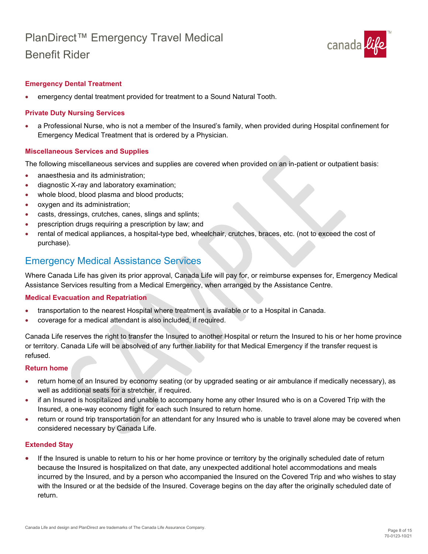

#### **Emergency Dental Treatment**

• emergency dental treatment provided for treatment to a Sound Natural Tooth.

#### **Private Duty Nursing Services**

• a Professional Nurse, who is not a member of the Insured's family, when provided during Hospital confinement for Emergency Medical Treatment that is ordered by a Physician.

#### **Miscellaneous Services and Supplies**

The following miscellaneous services and supplies are covered when provided on an in-patient or outpatient basis:

- anaesthesia and its administration:
- diagnostic X-ray and laboratory examination;
- whole blood, blood plasma and blood products;
- oxygen and its administration;
- casts, dressings, crutches, canes, slings and splints;
- prescription drugs requiring a prescription by law; and
- rental of medical appliances, a hospital-type bed, wheelchair, crutches, braces, etc. (not to exceed the cost of purchase).

### <span id="page-7-0"></span>Emergency Medical Assistance Services

Where Canada Life has given its prior approval, Canada Life will pay for, or reimburse expenses for, Emergency Medical Assistance Services resulting from a Medical Emergency, when arranged by the Assistance Centre.

#### **Medical Evacuation and Repatriation**

- transportation to the nearest Hospital where treatment is available or to a Hospital in Canada.
- coverage for a medical attendant is also included, if required.

Canada Life reserves the right to transfer the Insured to another Hospital or return the Insured to his or her home province or territory. Canada Life will be absolved of any further liability for that Medical Emergency if the transfer request is refused.

#### **Return home**

- return home of an Insured by economy seating (or by upgraded seating or air ambulance if medically necessary), as well as additional seats for a stretcher, if required.
- if an Insured is hospitalized and unable to accompany home any other Insured who is on a Covered Trip with the Insured, a one-way economy flight for each such Insured to return home.
- return or round trip transportation for an attendant for any Insured who is unable to travel alone may be covered when considered necessary by Canada Life.

#### **Extended Stay**

If the Insured is unable to return to his or her home province or territory by the originally scheduled date of return because the Insured is hospitalized on that date, any unexpected additional hotel accommodations and meals incurred by the Insured, and by a person who accompanied the Insured on the Covered Trip and who wishes to stay with the Insured or at the bedside of the Insured. Coverage begins on the day after the originally scheduled date of return. •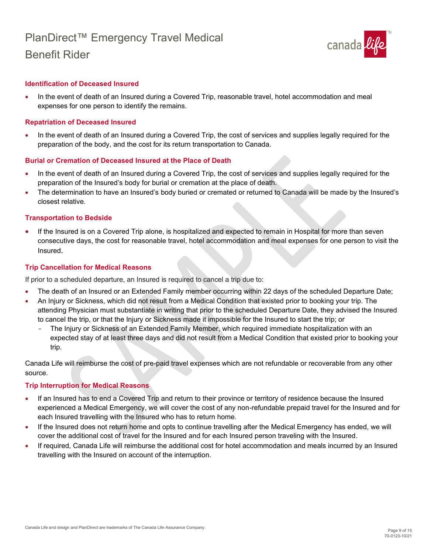

#### **Identification of Deceased Insured**

• In the event of death of an Insured during a Covered Trip, reasonable travel, hotel accommodation and meal expenses for one person to identify the remains.

#### **Repatriation of Deceased Insured**

• In the event of death of an Insured during a Covered Trip, the cost of services and supplies legally required for the preparation of the body, and the cost for its return transportation to Canada.

#### **Burial or Cremation of Deceased Insured at the Place of Death**

- In the event of death of an Insured during a Covered Trip, the cost of services and supplies legally required for the preparation of the Insured's body for burial or cremation at the place of death.
- The determination to have an Insured's body buried or cremated or returned to Canada will be made by the Insured's closest relative.

#### **Transportation to Bedside**

• If the Insured is on a Covered Trip alone, is hospitalized and expected to remain in Hospital for more than seven consecutive days, the cost for reasonable travel, hotel accommodation and meal expenses for one person to visit the Insured.

#### **Trip Cancellation for Medical Reasons**

If prior to a scheduled departure, an Insured is required to cancel a trip due to:

- The death of an Insured or an Extended Family member occurring within 22 days of the scheduled Departure Date;
- An Injury or Sickness, which did not result from a Medical Condition that existed prior to booking your trip. The attending Physician must substantiate in writing that prior to the scheduled Departure Date, they advised the Insured to cancel the trip, or that the Injury or Sickness made it impossible for the Insured to start the trip; or
	- The Injury or Sickness of an Extended Family Member, which required immediate hospitalization with an expected stay of at least three days and did not result from a Medical Condition that existed prior to booking your trip.

Canada Life will reimburse the cost of pre-paid travel expenses which are not refundable or recoverable from any other source.

#### **Trip Interruption for Medical Reasons**

- If an Insured has to end a Covered Trip and return to their province or territory of residence because the Insured experienced a Medical Emergency, we will cover the cost of any non-refundable prepaid travel for the Insured and for each Insured travelling with the Insured who has to return home.
- If the Insured does not return home and opts to continue travelling after the Medical Emergency has ended, we will cover the additional cost of travel for the Insured and for each Insured person traveling with the Insured.
- If required, Canada Life will reimburse the additional cost for hotel accommodation and meals incurred by an Insured travelling with the Insured on account of the interruption.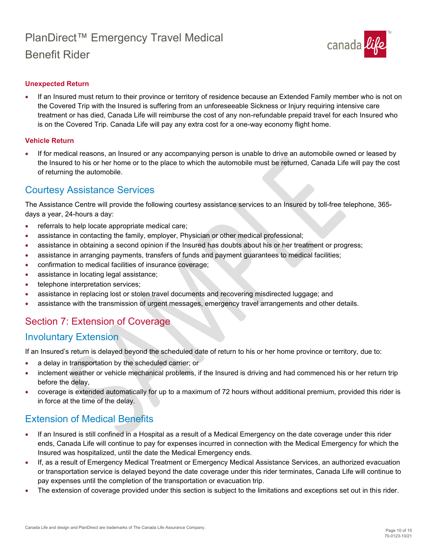

#### **Unexpected Return**

• If an Insured must return to their province or territory of residence because an Extended Family member who is not on the Covered Trip with the Insured is suffering from an unforeseeable Sickness or Injury requiring intensive care treatment or has died, Canada Life will reimburse the cost of any non-refundable prepaid travel for each Insured who is on the Covered Trip. Canada Life will pay any extra cost for a one-way economy flight home.

#### **Vehicle Return**

• If for medical reasons, an Insured or any accompanying person is unable to drive an automobile owned or leased by the Insured to his or her home or to the place to which the automobile must be returned, Canada Life will pay the cost of returning the automobile.

### <span id="page-9-0"></span>Courtesy Assistance Services

The Assistance Centre will provide the following courtesy assistance services to an Insured by toll-free telephone, 365 days a year, 24-hours a day:

- referrals to help locate appropriate medical care;
- assistance in contacting the family, employer, Physician or other medical professional;
- assistance in obtaining a second opinion if the Insured has doubts about his or her treatment or progress;
- assistance in arranging payments, transfers of funds and payment guarantees to medical facilities;
- confirmation to medical facilities of insurance coverage;
- assistance in locating legal assistance;
- telephone interpretation services;
- assistance in replacing lost or stolen travel documents and recovering misdirected luggage; and
- assistance with the transmission of urgent messages, emergency travel arrangements and other details.

### <span id="page-9-1"></span>Section 7: Extension of Coverage

### <span id="page-9-2"></span>Involuntary Extension

If an Insured's return is delayed beyond the scheduled date of return to his or her home province or territory, due to:

- a delay in transportation by the scheduled carrier; or
- inclement weather or vehicle mechanical problems, if the Insured is driving and had commenced his or her return trip before the delay,
- coverage is extended automatically for up to a maximum of 72 hours without additional premium, provided this rider is in force at the time of the delay.

## <span id="page-9-3"></span>Extension of Medical Benefits

- If an Insured is still confined in a Hospital as a result of a Medical Emergency on the date coverage under this rider ends, Canada Life will continue to pay for expenses incurred in connection with the Medical Emergency for which the Insured was hospitalized, until the date the Medical Emergency ends.
- If, as a result of Emergency Medical Treatment or Emergency Medical Assistance Services, an authorized evacuation or transportation service is delayed beyond the date coverage under this rider terminates, Canada Life will continue to pay expenses until the completion of the transportation or evacuation trip.
- The extension of coverage provided under this section is subject to the limitations and exceptions set out in this rider.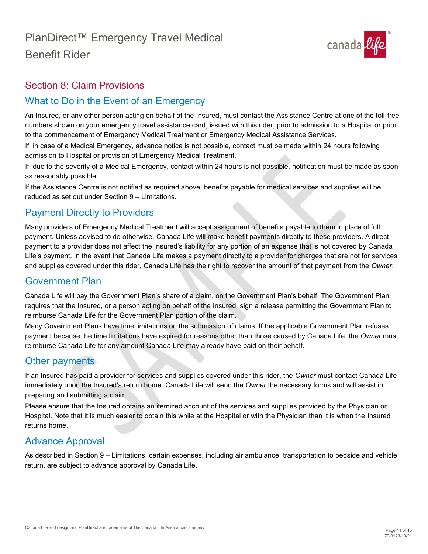

## <span id="page-10-0"></span>Section 8: Claim Provisions

## <span id="page-10-1"></span>What to Do in the Event of an Emergency

An Insured, or any other person acting on behalf of the Insured, must contact the Assistance Centre at one of the toll-free numbers shown on your emergency travel assistance card, issued with this rider, prior to admission to a Hospital or prior to the commencement of Emergency Medical Treatment or Emergency Medical Assistance Services.

If, in case of a Medical Emergency, advance notice is not possible, contact must be made within 24 hours following admission to Hospital or provision of Emergency Medical Treatment.

If, due to the severity of a Medical Emergency, contact within 24 hours is not possible, notification must be made as soon as reasonably possible.

If the Assistance Centre is not notified as required above, benefits payable for medical services and supplies will be reduced as set out under Section 9 – Limitations.

## <span id="page-10-2"></span>Payment Directly to Providers

Many providers of Emergency Medical Treatment will accept assignment of benefits payable to them in place of full payment. Unless advised to do otherwise, Canada Life will make benefit payments directly to these providers. A direct payment to a provider does not affect the Insured's liability for any portion of an expense that is not covered by Canada Life's payment. In the event that Canada Life makes a payment directly to a provider for charges that are not for services and supplies covered under this rider, Canada Life has the right to recover the amount of that payment from the *Owner*.

## <span id="page-10-3"></span>Government Plan

Canada Life will pay the Government Plan's share of a claim, on the Government Plan's behalf. The Government Plan requires that the Insured*,* or a person acting on behalf of the Insured*,* sign a release permitting the Government Plan to reimburse Canada Life for the Government Plan portion of the claim.

Many Government Plans have time limitations on the submission of claims. If the applicable Government Plan refuses payment because the time limitations have expired for reasons other than those caused by Canada Life, the *Owner* must reimburse Canada Life for any amount Canada Life may already have paid on their behalf.

## <span id="page-10-4"></span>Other payments

If an Insured has paid a provider for services and supplies covered under this rider, the *Owner* must contact Canada Life immediately upon the Insured's return home. Canada Life will send the *Owner* the necessary forms and will assist in preparing and submitting a claim.

Please ensure that the Insured obtains an itemized account of the services and supplies provided by the Physician or Hospital. Note that it is much easier to obtain this while at the Hospital or with the Physician than it is when the Insured returns home.

### <span id="page-10-5"></span>Advance Approval

As described in Section 9 – Limitations, certain expenses, including air ambulance, transportation to bedside and vehicle return, are subject to advance approval by Canada Life.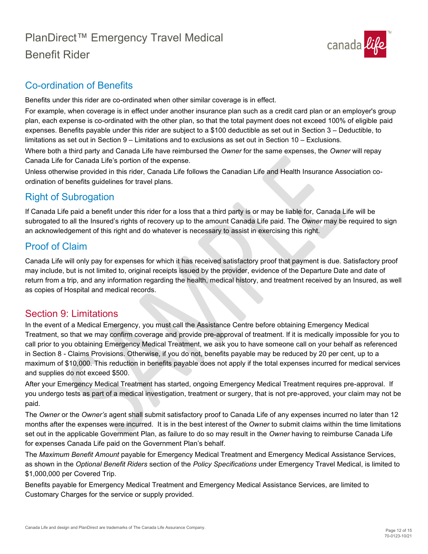

## <span id="page-11-0"></span>Co-ordination of Benefits

Benefits under this rider are co-ordinated when other similar coverage is in effect.

For example, when coverage is in effect under another insurance plan such as a credit card plan or an employer's group plan, each expense is co-ordinated with the other plan, so that the total payment does not exceed 100% of eligible paid expenses. Benefits payable under this rider are subject to a \$100 deductible as set out in Section 3 – Deductible, to limitations as set out in Section 9 – Limitations and to exclusions as set out in Section 10 – Exclusions. Where both a third party and Canada Life have reimbursed the *Owner* for the same expenses, the *Owner* will repay

Canada Life for Canada Life's portion of the expense. Unless otherwise provided in this rider, Canada Life follows the Canadian Life and Health Insurance Association co-

ordination of benefits guidelines for travel plans.

# <span id="page-11-1"></span>Right of Subrogation

If Canada Life paid a benefit under this rider for a loss that a third party is or may be liable for, Canada Life will be subrogated to all the Insured's rights of recovery up to the amount Canada Life paid. The *Owner* may be required to sign an acknowledgement of this right and do whatever is necessary to assist in exercising this right.

## <span id="page-11-2"></span>Proof of Claim

Canada Life will only pay for expenses for which it has received satisfactory proof that payment is due. Satisfactory proof may include, but is not limited to, original receipts issued by the provider, evidence of the Departure Date and date of return from a trip, and any information regarding the health, medical history, and treatment received by an Insured, as well as copies of Hospital and medical records.

## <span id="page-11-3"></span>Section 9: Limitations

In the event of a Medical Emergency, you must call the Assistance Centre before obtaining Emergency Medical Treatment, so that we may confirm coverage and provide pre-approval of treatment. If it is medically impossible for you to call prior to you obtaining Emergency Medical Treatment, we ask you to have someone call on your behalf as referenced in Section 8 - Claims Provisions. Otherwise, if you do not, benefits payable may be reduced by 20 per cent, up to a maximum of \$10,000. This reduction in benefits payable does not apply if the total expenses incurred for medical services and supplies do not exceed \$500.

After your Emergency Medical Treatment has started, ongoing Emergency Medical Treatment requires pre-approval. If you undergo tests as part of a medical investigation, treatment or surgery, that is not pre-approved, your claim may not be paid.

The *Owner* or the *Owner's* agent shall submit satisfactory proof to Canada Life of any expenses incurred no later than 12 months after the expenses were incurred. It is in the best interest of the *Owner* to submit claims within the time limitations set out in the applicable Government Plan, as failure to do so may result in the *Owner* having to reimburse Canada Life for expenses Canada Life paid on the Government Plan's behalf.

The *Maximum Benefit Amount* payable for Emergency Medical Treatment and Emergency Medical Assistance Services, as shown in the *Optional Benefit Riders* section of the *Policy Specifications* under Emergency Travel Medical, is limited to \$1,000,000 per Covered Trip.

Benefits payable for Emergency Medical Treatment and Emergency Medical Assistance Services, are limited to Customary Charges for the service or supply provided.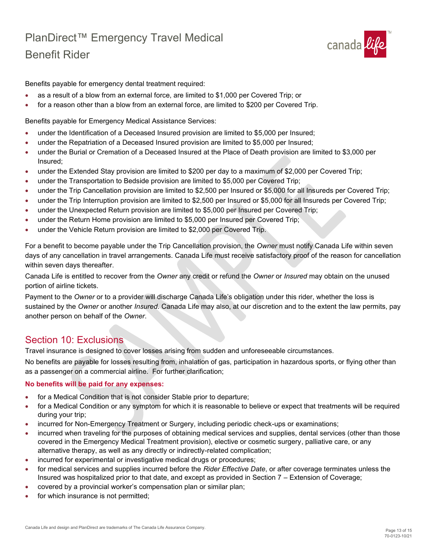

Benefits payable for emergency dental treatment required:

- as a result of a blow from an external force, are limited to \$1,000 per Covered Trip; or
- for a reason other than a blow from an external force, are limited to \$200 per Covered Trip.

Benefits payable for Emergency Medical Assistance Services:

- under the Identification of a Deceased Insured provision are limited to \$5,000 per Insured;
- under the Repatriation of a Deceased Insured provision are limited to \$5,000 per Insured;
- under the Burial or Cremation of a Deceased Insured at the Place of Death provision are limited to \$3,000 per Insured;
- under the Extended Stay provision are limited to \$200 per day to a maximum of \$2,000 per Covered Trip;
- under the Transportation to Bedside provision are limited to \$5,000 per Covered Trip;
- under the Trip Cancellation provision are limited to \$2,500 per Insured or \$5,000 for all Insureds per Covered Trip;
- under the Trip Interruption provision are limited to \$2,500 per Insured or \$5,000 for all Insureds per Covered Trip;
- under the Unexpected Return provision are limited to \$5,000 per Insured per Covered Trip;
- under the Return Home provision are limited to \$5,000 per Insured per Covered Trip;
- under the Vehicle Return provision are limited to \$2,000 per Covered Trip.

For a benefit to become payable under the Trip Cancellation provision, the *Owner* must notify Canada Life within seven days of any cancellation in travel arrangements. Canada Life must receive satisfactory proof of the reason for cancellation within seven days thereafter.

Canada Life is entitled to recover from the *Owner* any credit or refund the *Owner* or *Insured* may obtain on the unused portion of airline tickets.

Payment to the *Owner* or to a provider will discharge Canada Life's obligation under this rider, whether the loss is sustained by the *Owner* or another *Insured*. Canada Life may also, at our discretion and to the extent the law permits, pay another person on behalf of the *Owner*.

## <span id="page-12-0"></span>Section 10: Exclusions

Travel insurance is designed to cover losses arising from sudden and unforeseeable circumstances.

No benefits are payable for losses resulting from, inhalation of gas, participation in hazardous sports, or flying other than as a passenger on a commercial airline. For further clarification;

#### **No benefits will be paid for any expenses:**

- for a Medical Condition that is not consider Stable prior to departure;
- for a Medical Condition or any symptom for which it is reasonable to believe or expect that treatments will be required during your trip;
- incurred for Non-Emergency Treatment or Surgery, including periodic check-ups or examinations;
- incurred when traveling for the purposes of obtaining medical services and supplies, dental services (other than those covered in the Emergency Medical Treatment provision), elective or cosmetic surgery, palliative care, or any alternative therapy, as well as any directly or indirectly-related complication;
- incurred for experimental or investigative medical drugs or procedures;
- for medical services and supplies incurred before the *Rider Effective Date*, or after coverage terminates unless the Insured was hospitalized prior to that date, and except as provided in Section 7 – Extension of Coverage;
- covered by a provincial worker's compensation plan or similar plan;
- for which insurance is not permitted;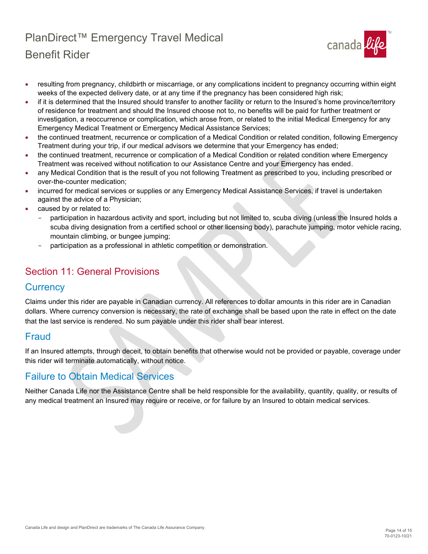

- resulting from pregnancy, childbirth or miscarriage, or any complications incident to pregnancy occurring within eight weeks of the expected delivery date, or at any time if the pregnancy has been considered high risk;
- if it is determined that the Insured should transfer to another facility or return to the Insured's home province/territory of residence for treatment and should the Insured choose not to, no benefits will be paid for further treatment or investigation, a reoccurrence or complication, which arose from, or related to the initial Medical Emergency for any Emergency Medical Treatment or Emergency Medical Assistance Services;
- the continued treatment, recurrence or complication of a Medical Condition or related condition, following Emergency Treatment during your trip, if our medical advisors we determine that your Emergency has ended;
- the continued treatment, recurrence or complication of a Medical Condition or related condition where Emergency Treatment was received without notification to our Assistance Centre and your Emergency has ended.
- any Medical Condition that is the result of you not following Treatment as prescribed to you, including prescribed or over-the-counter medication;
- incurred for medical services or supplies or any Emergency Medical Assistance Services, if travel is undertaken against the advice of a Physician;
- caused by or related to:
	- participation in hazardous activity and sport, including but not limited to, scuba diving (unless the Insured holds a scuba diving designation from a certified school or other licensing body), parachute jumping, motor vehicle racing, mountain climbing, or bungee jumping;
	- participation as a professional in athletic competition or demonstration.

## <span id="page-13-0"></span>Section 11: General Provisions

### <span id="page-13-1"></span>**Currency**

Claims under this rider are payable in Canadian currency. All references to dollar amounts in this rider are in Canadian dollars. Where currency conversion is necessary, the rate of exchange shall be based upon the rate in effect on the date that the last service is rendered. No sum payable under this rider shall bear interest.

### <span id="page-13-2"></span>Fraud

If an Insured attempts, through deceit, to obtain benefits that otherwise would not be provided or payable, coverage under this rider will terminate automatically, without notice.

### <span id="page-13-3"></span>Failure to Obtain Medical Services

Neither Canada Life nor the Assistance Centre shall be held responsible for the availability, quantity, quality, or results of any medical treatment an Insured may require or receive, or for failure by an Insured to obtain medical services.